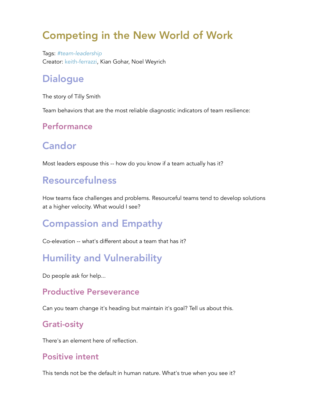# Competing in the New World of Work

Tags: *#team-leadership* Creator: keith-ferrazzi, Kian Gohar, Noel Weyrich

## **Dialogue**

The story of Tilly Smith

Team behaviors that are the most reliable diagnostic indicators of team resilience:

## **Performance**

## Candor

Most leaders espouse this -- how do you know if a team actually has it?

## Resourcefulness

How teams face challenges and problems. Resourceful teams tend to develop solutions at a higher velocity. What would I see?

# Compassion and Empathy

Co-elevation -- what's different about a team that has it?

# Humility and Vulnerability

Do people ask for help...

#### Productive Perseverance

Can you team change it's heading but maintain it's goal? Tell us about this.

### Grati-osity

There's an element here of reflection.

### Positive intent

This tends not be the default in human nature. What's true when you see it?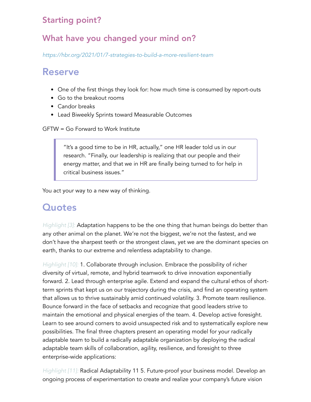### Starting point?

## What have you changed your mind on?

*<https://hbr.org/2021/01/7-strategies-to-build-a-more-resilient-team>*

### Reserve

- One of the first things they look for: how much time is consumed by report-outs
- Go to the breakout rooms
- Candor breaks
- Lead Biweekly Sprints toward Measurable Outcomes

GFTW = Go Forward to Work Institute

"It's a good time to be in HR, actually," one HR leader told us in our research. "Finally, our leadership is realizing that our people and their energy matter, and that we in HR are finally being turned to for help in critical business issues."

You act your way to a new way of thinking.

## **Quotes**

*Highlight [3]:* Adaptation happens to be the one thing that human beings do better than any other animal on the planet. We're not the biggest, we're not the fastest, and we don't have the sharpest teeth or the strongest claws, yet we are the dominant species on earth, thanks to our extreme and relentless adaptability to change.

*Highlight [10]:* 1. Collaborate through inclusion. Embrace the possibility of richer diversity of virtual, remote, and hybrid teamwork to drive innovation exponentially forward. 2. Lead through enterprise agile. Extend and expand the cultural ethos of shortterm sprints that kept us on our trajectory during the crisis, and find an operating system that allows us to thrive sustainably amid continued volatility. 3. Promote team resilience. Bounce forward in the face of setbacks and recognize that good leaders strive to maintain the emotional and physical energies of the team. 4. Develop active foresight. Learn to see around corners to avoid unsuspected risk and to systematically explore new possibilities. The final three chapters present an operating model for your radically adaptable team to build a radically adaptable organization by deploying the radical adaptable team skills of collaboration, agility, resilience, and foresight to three enterprise-wide applications:

*Highlight [11]:* Radical Adaptability 11 5. Future-proof your business model. Develop an ongoing process of experimentation to create and realize your company's future vision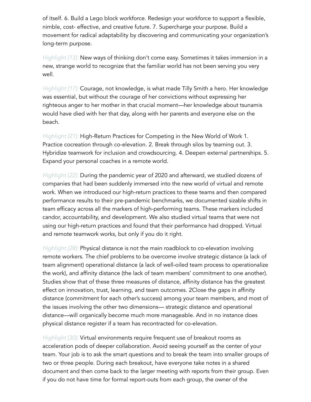of itself. 6. Build a Lego block workforce. Redesign your workforce to support a flexible, nimble, cost- effective, and creative future. 7. Supercharge your purpose. Build a movement for radical adaptability by discovering and communicating your organization's long-term purpose.

*Highlight [13]:* New ways of thinking don't come easy. Sometimes it takes immersion in a new, strange world to recognize that the familiar world has not been serving you very well.

*Highlight [17]:* Courage, not knowledge, is what made Tilly Smith a hero. Her knowledge was essential, but without the courage of her convictions without expressing her righteous anger to her mother in that crucial moment—her knowledge about tsunamis would have died with her that day, along with her parents and everyone else on the beach.

*Highlight [21]:* High-Return Practices for Competing in the New World of Work 1. Practice cocreation through co-elevation. 2. Break through silos by teaming out. 3. Hybridize teamwork for inclusion and crowdsourcing. 4. Deepen external partnerships. 5. Expand your personal coaches in a remote world.

*Highlight [22]:* During the pandemic year of 2020 and afterward, we studied dozens of companies that had been suddenly immersed into the new world of virtual and remote work. When we introduced our high-return practices to these teams and then compared performance results to their pre-pandemic benchmarks, we documented sizable shifts in team efficacy across all the markers of high-performing teams. These markers included candor, accountability, and development. We also studied virtual teams that were not using our high-return practices and found that their performance had dropped. Virtual and remote teamwork works, but only if you do it right.

*Highlight [28]:* Physical distance is not the main roadblock to co-elevation involving remote workers. The chief problems to be overcome involve strategic distance (a lack of team alignment) operational distance (a lack of well-oiled team process to operationalize the work), and affinity distance (the lack of team members' commitment to one another). Studies show that of these three measures of distance, affinity distance has the greatest effect on innovation, trust, learning, and team outcomes. 2Close the gaps in affinity distance (commitment for each other's success) among your team members, and most of the issues involving the other two dimensions— strategic distance and operational distance—will organically become much more manageable. And in no instance does physical distance register if a team has recontracted for co-elevation.

*Highlight [30]:* Virtual environments require frequent use of breakout rooms as acceleration pods of deeper collaboration. Avoid seeing yourself as the center of your team. Your job is to ask the smart questions and to break the team into smaller groups of two or three people. During each breakout, have everyone take notes in a shared document and then come back to the larger meeting with reports from their group. Even if you do not have time for formal report-outs from each group, the owner of the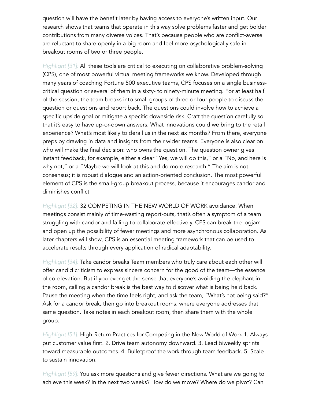question will have the benefit later by having access to everyone's written input. Our research shows that teams that operate in this way solve problems faster and get bolder contributions from many diverse voices. That's because people who are conflict-averse are reluctant to share openly in a big room and feel more psychologically safe in breakout rooms of two or three people.

*Highlight [31]:* All these tools are critical to executing on collaborative problem-solving (CPS), one of most powerful virtual meeting frameworks we know. Developed through many years of coaching Fortune 500 executive teams, CPS focuses on a single businesscritical question or several of them in a sixty- to ninety-minute meeting. For at least half of the session, the team breaks into small groups of three or four people to discuss the question or questions and report back. The questions could involve how to achieve a specific upside goal or mitigate a specific downside risk. Craft the question carefully so that it's easy to have up-or-down answers. What innovations could we bring to the retail experience? What's most likely to derail us in the next six months? From there, everyone preps by drawing in data and insights from their wider teams. Everyone is also clear on who will make the final decision: who owns the question. The question owner gives instant feedback, for example, either a clear "Yes, we will do this," or a "No, and here is why not," or a "Maybe we will look at this and do more research." The aim is not consensus; it is robust dialogue and an action-oriented conclusion. The most powerful element of CPS is the small-group breakout process, because it encourages candor and diminishes conflict

*Highlight [32]:* 32 COMPETING IN THE NEW WORLD OF WORK avoidance. When meetings consist mainly of time-wasting report-outs, that's often a symptom of a team struggling with candor and failing to collaborate effectively. CPS can break the logjam and open up the possibility of fewer meetings and more asynchronous collaboration. As later chapters will show, CPS is an essential meeting framework that can be used to accelerate results through every application of radical adaptability.

*Highlight [34]:* Take candor breaks Team members who truly care about each other will offer candid criticism to express sincere concern for the good of the team—the essence of co-elevation. But if you ever get the sense that everyone's avoiding the elephant in the room, calling a candor break is the best way to discover what is being held back. Pause the meeting when the time feels right, and ask the team, "What's not being said?" Ask for a candor break, then go into breakout rooms, where everyone addresses that same question. Take notes in each breakout room, then share them with the whole group.

*Highlight [51]:* High-Return Practices for Competing in the New World of Work 1. Always put customer value first. 2. Drive team autonomy downward. 3. Lead biweekly sprints toward measurable outcomes. 4. Bulletproof the work through team feedback. 5. Scale to sustain innovation.

*Highlight [59]:* You ask more questions and give fewer directions. What are we going to achieve this week? In the next two weeks? How do we move? Where do we pivot? Can